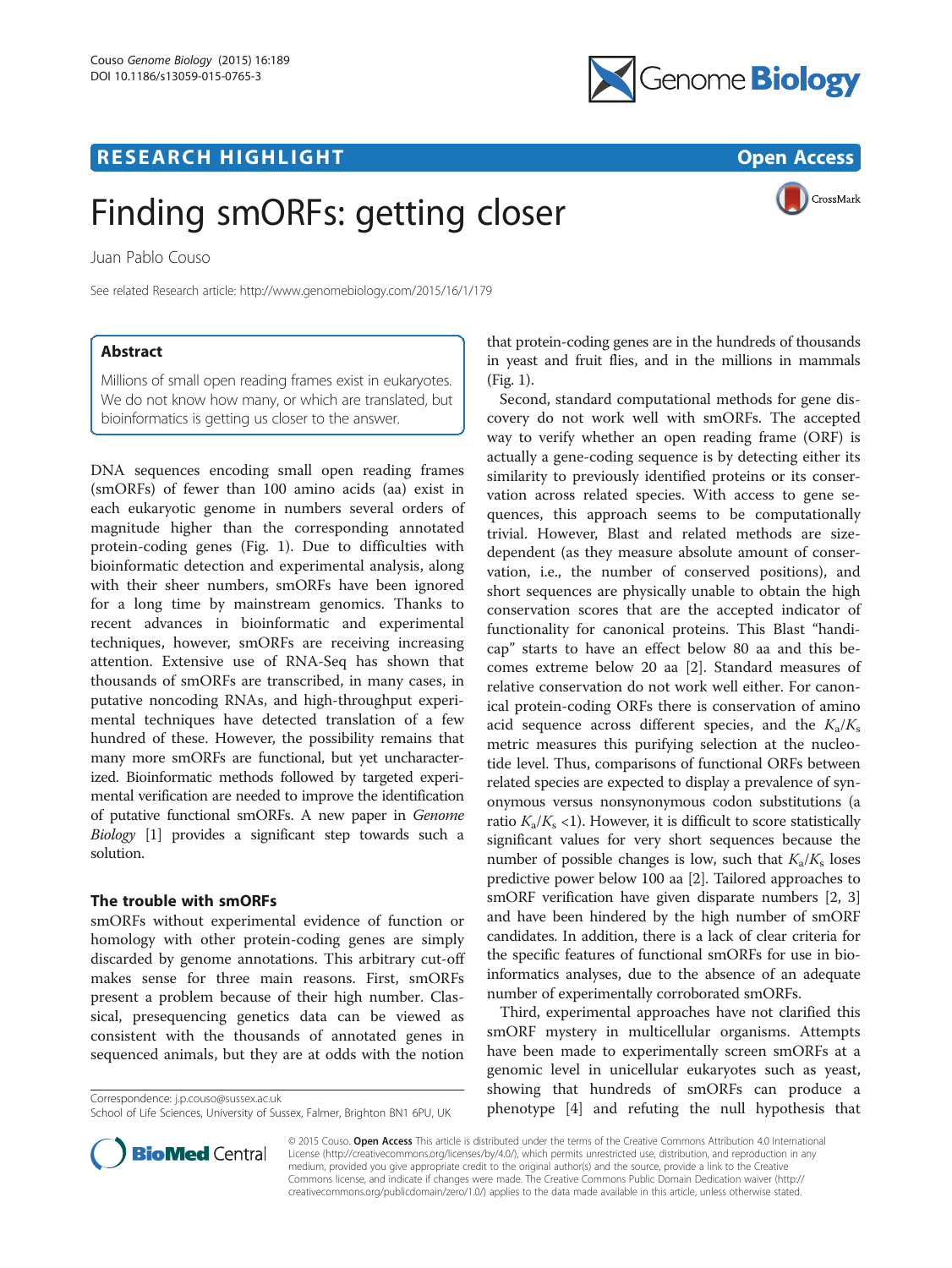# <u>R E S EAR CH HIGH LIGH THAT LIGHT CHANGE THAT LIGHT CHANGE THAT LIGHT CHANGE THAT LIGHT CHANGE THAT LIGHT CHANGE</u>



CrossMark

# Finding smORFs: getting closer

Juan Pablo Couso

See related Research article:<http://www.genomebiology.com/2015/16/1/179>

# **Abstract**

Millions of small open reading frames exist in eukaryotes. We do not know how many, or which are translated, but bioinformatics is getting us closer to the answer.

DNA sequences encoding small open reading frames (smORFs) of fewer than 100 amino acids (aa) exist in each eukaryotic genome in numbers several orders of magnitude higher than the corresponding annotated protein-coding genes (Fig. [1\)](#page-1-0). Due to difficulties with bioinformatic detection and experimental analysis, along with their sheer numbers, smORFs have been ignored for a long time by mainstream genomics. Thanks to recent advances in bioinformatic and experimental techniques, however, smORFs are receiving increasing attention. Extensive use of RNA-Seq has shown that thousands of smORFs are transcribed, in many cases, in putative noncoding RNAs, and high-throughput experimental techniques have detected translation of a few hundred of these. However, the possibility remains that many more smORFs are functional, but yet uncharacterized. Bioinformatic methods followed by targeted experimental verification are needed to improve the identification of putative functional smORFs. A new paper in Genome Biology [[1\]](#page-2-0) provides a significant step towards such a solution.

## The trouble with smORFs

smORFs without experimental evidence of function or homology with other protein-coding genes are simply discarded by genome annotations. This arbitrary cut-off makes sense for three main reasons. First, smORFs present a problem because of their high number. Classical, presequencing genetics data can be viewed as consistent with the thousands of annotated genes in sequenced animals, but they are at odds with the notion

Correspondence: [j.p.couso@sussex.ac.uk](mailto:j.p.couso@sussex.ac.uk)



Second, standard computational methods for gene discovery do not work well with smORFs. The accepted way to verify whether an open reading frame (ORF) is actually a gene-coding sequence is by detecting either its similarity to previously identified proteins or its conservation across related species. With access to gene sequences, this approach seems to be computationally trivial. However, Blast and related methods are sizedependent (as they measure absolute amount of conservation, i.e., the number of conserved positions), and short sequences are physically unable to obtain the high conservation scores that are the accepted indicator of functionality for canonical proteins. This Blast "handicap" starts to have an effect below 80 aa and this becomes extreme below 20 aa [\[2](#page-2-0)]. Standard measures of relative conservation do not work well either. For canonical protein-coding ORFs there is conservation of amino acid sequence across different species, and the  $K_a/K_s$ metric measures this purifying selection at the nucleotide level. Thus, comparisons of functional ORFs between related species are expected to display a prevalence of synonymous versus nonsynonymous codon substitutions (a ratio  $K_a/K_s$  <1). However, it is difficult to score statistically significant values for very short sequences because the number of possible changes is low, such that  $K_a/K_s$  loses predictive power below 100 aa [[2](#page-2-0)]. Tailored approaches to smORF verification have given disparate numbers [\[2](#page-2-0), [3](#page-2-0)] and have been hindered by the high number of smORF candidates. In addition, there is a lack of clear criteria for the specific features of functional smORFs for use in bioinformatics analyses, due to the absence of an adequate number of experimentally corroborated smORFs.

Third, experimental approaches have not clarified this smORF mystery in multicellular organisms. Attempts have been made to experimentally screen smORFs at a genomic level in unicellular eukaryotes such as yeast, showing that hundreds of smORFs can produce a phenotype [[4\]](#page-2-0) and refuting the null hypothesis that



© 2015 Couso. Open Access This article is distributed under the terms of the Creative Commons Attribution 4.0 International License ([http://creativecommons.org/licenses/by/4.0/\)](http://creativecommons.org/licenses/by/4.0/), which permits unrestricted use, distribution, and reproduction in any medium, provided you give appropriate credit to the original author(s) and the source, provide a link to the Creative Commons license, and indicate if changes were made. The Creative Commons Public Domain Dedication waiver ([http://](http://creativecommons.org/publicdomain/zero/1.0/) [creativecommons.org/publicdomain/zero/1.0/\)](http://creativecommons.org/publicdomain/zero/1.0/) applies to the data made available in this article, unless otherwise stated.

School of Life Sciences, University of Sussex, Falmer, Brighton BN1 6PU, UK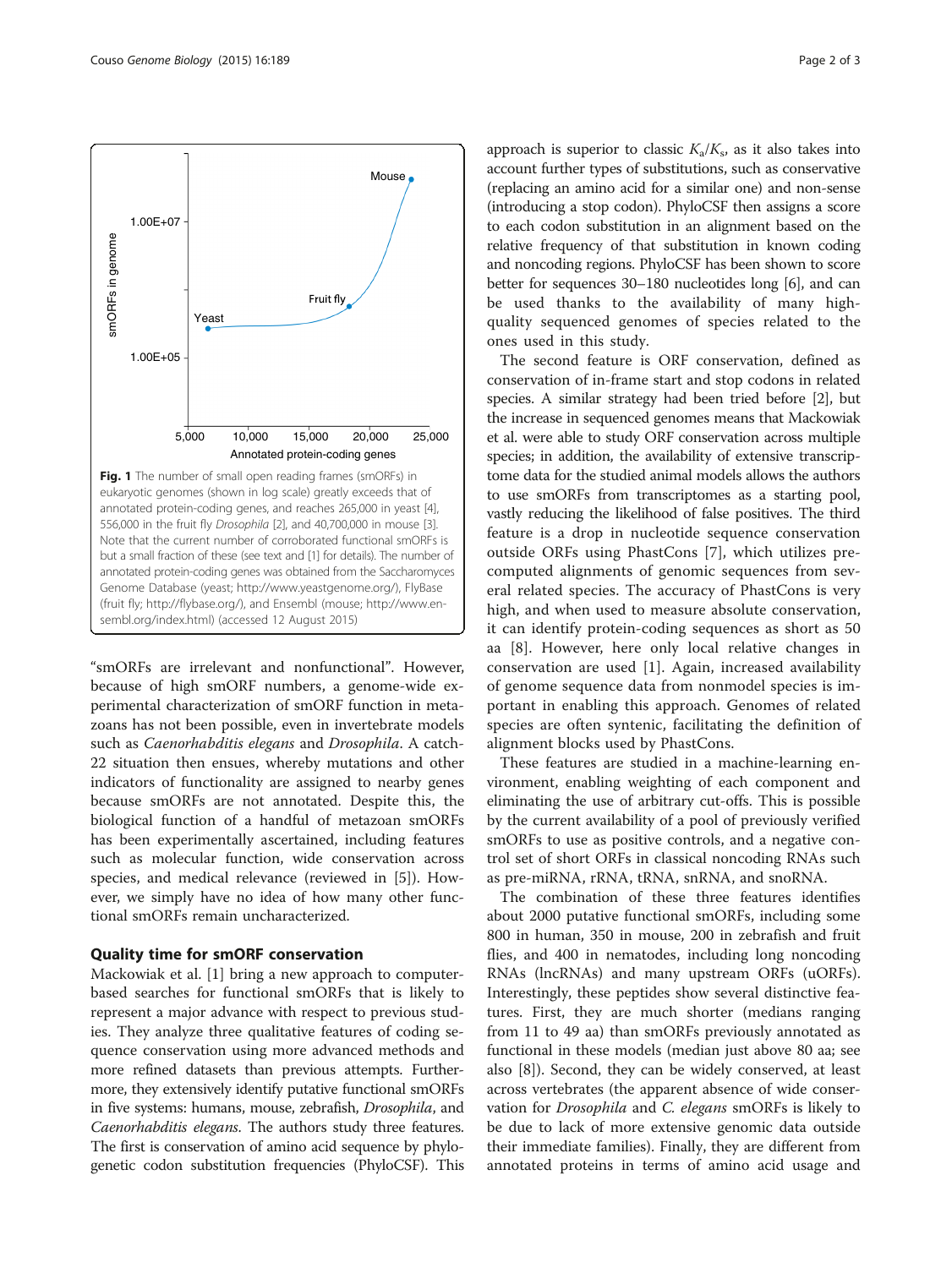<span id="page-1-0"></span>

"smORFs are irrelevant and nonfunctional". However, because of high smORF numbers, a genome-wide experimental characterization of smORF function in metazoans has not been possible, even in invertebrate models such as Caenorhabditis elegans and Drosophila. A catch-22 situation then ensues, whereby mutations and other indicators of functionality are assigned to nearby genes because smORFs are not annotated. Despite this, the biological function of a handful of metazoan smORFs has been experimentally ascertained, including features such as molecular function, wide conservation across species, and medical relevance (reviewed in [[5\]](#page-2-0)). However, we simply have no idea of how many other functional smORFs remain uncharacterized.

Mackowiak et al. [\[1](#page-2-0)] bring a new approach to computerbased searches for functional smORFs that is likely to represent a major advance with respect to previous studies. They analyze three qualitative features of coding sequence conservation using more advanced methods and more refined datasets than previous attempts. Furthermore, they extensively identify putative functional smORFs in five systems: humans, mouse, zebrafish, Drosophila, and Caenorhabditis elegans. The authors study three features. The first is conservation of amino acid sequence by phylogenetic codon substitution frequencies (PhyloCSF). This

approach is superior to classic  $K_a/K_s$ , as it also takes into account further types of substitutions, such as conservative (replacing an amino acid for a similar one) and non-sense (introducing a stop codon). PhyloCSF then assigns a score to each codon substitution in an alignment based on the relative frequency of that substitution in known coding and noncoding regions. PhyloCSF has been shown to score better for sequences 30–180 nucleotides long [[6](#page-2-0)], and can be used thanks to the availability of many highquality sequenced genomes of species related to the ones used in this study.

The second feature is ORF conservation, defined as conservation of in-frame start and stop codons in related species. A similar strategy had been tried before [\[2](#page-2-0)], but the increase in sequenced genomes means that Mackowiak et al. were able to study ORF conservation across multiple species; in addition, the availability of extensive transcriptome data for the studied animal models allows the authors to use smORFs from transcriptomes as a starting pool, vastly reducing the likelihood of false positives. The third feature is a drop in nucleotide sequence conservation outside ORFs using PhastCons [\[7](#page-2-0)], which utilizes precomputed alignments of genomic sequences from several related species. The accuracy of PhastCons is very high, and when used to measure absolute conservation, it can identify protein-coding sequences as short as 50 aa [[8\]](#page-2-0). However, here only local relative changes in conservation are used [[1\]](#page-2-0). Again, increased availability of genome sequence data from nonmodel species is important in enabling this approach. Genomes of related species are often syntenic, facilitating the definition of alignment blocks used by PhastCons.

These features are studied in a machine-learning environment, enabling weighting of each component and eliminating the use of arbitrary cut-offs. This is possible by the current availability of a pool of previously verified smORFs to use as positive controls, and a negative control set of short ORFs in classical noncoding RNAs such as pre-miRNA, rRNA, tRNA, snRNA, and snoRNA.

The combination of these three features identifies about 2000 putative functional smORFs, including some 800 in human, 350 in mouse, 200 in zebrafish and fruit flies, and 400 in nematodes, including long noncoding RNAs (lncRNAs) and many upstream ORFs (uORFs). Interestingly, these peptides show several distinctive features. First, they are much shorter (medians ranging from 11 to 49 aa) than smORFs previously annotated as functional in these models (median just above 80 aa; see also [\[8](#page-2-0)]). Second, they can be widely conserved, at least across vertebrates (the apparent absence of wide conservation for Drosophila and C. elegans smORFs is likely to be due to lack of more extensive genomic data outside their immediate families). Finally, they are different from annotated proteins in terms of amino acid usage and